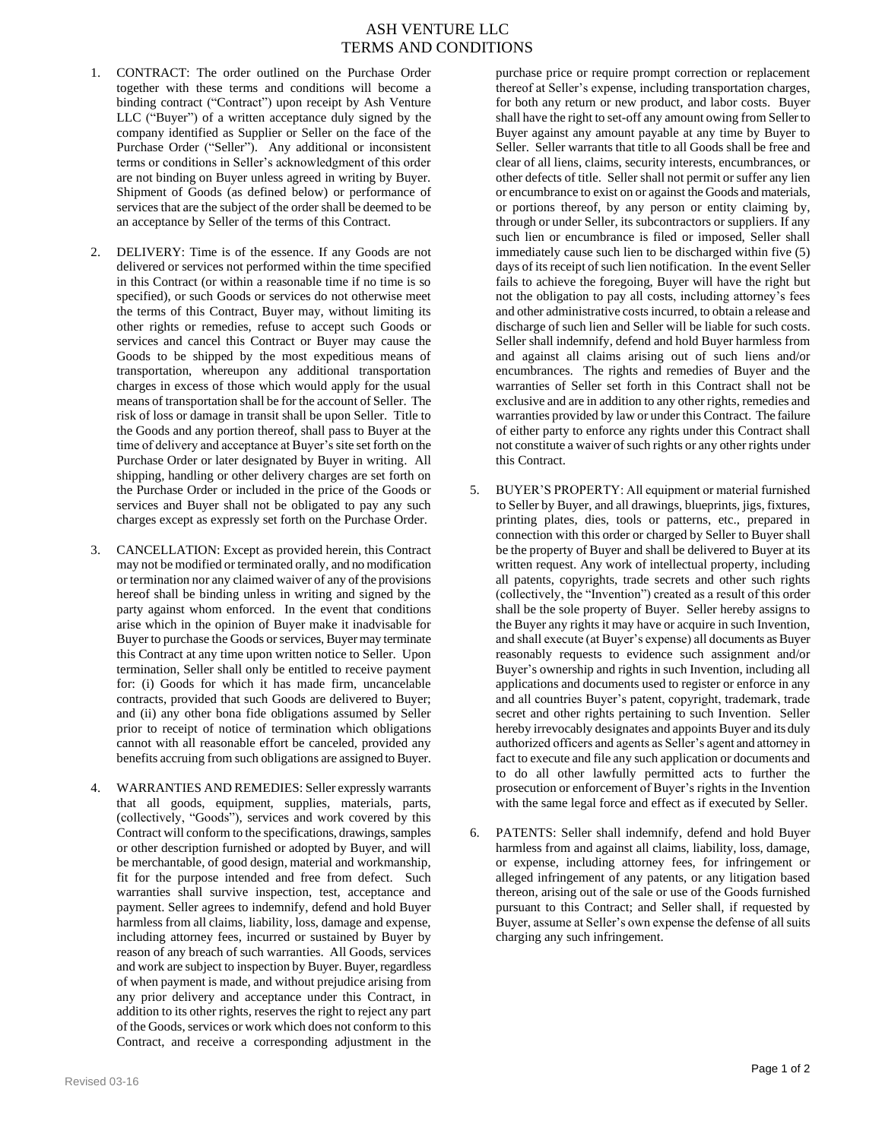## ASH VENTURE LLC TERMS AND CONDITIONS

- 1. CONTRACT: The order outlined on the Purchase Order together with these terms and conditions will become a binding contract ("Contract") upon receipt by Ash Venture LLC ("Buyer") of a written acceptance duly signed by the company identified as Supplier or Seller on the face of the Purchase Order ("Seller"). Any additional or inconsistent terms or conditions in Seller's acknowledgment of this order are not binding on Buyer unless agreed in writing by Buyer. Shipment of Goods (as defined below) or performance of services that are the subject of the order shall be deemed to be an acceptance by Seller of the terms of this Contract.
- 2. DELIVERY: Time is of the essence. If any Goods are not delivered or services not performed within the time specified in this Contract (or within a reasonable time if no time is so specified), or such Goods or services do not otherwise meet the terms of this Contract, Buyer may, without limiting its other rights or remedies, refuse to accept such Goods or services and cancel this Contract or Buyer may cause the Goods to be shipped by the most expeditious means of transportation, whereupon any additional transportation charges in excess of those which would apply for the usual means of transportation shall be for the account of Seller. The risk of loss or damage in transit shall be upon Seller. Title to the Goods and any portion thereof, shall pass to Buyer at the time of delivery and acceptance at Buyer's site set forth on the Purchase Order or later designated by Buyer in writing. All shipping, handling or other delivery charges are set forth on the Purchase Order or included in the price of the Goods or services and Buyer shall not be obligated to pay any such charges except as expressly set forth on the Purchase Order.
- 3. CANCELLATION: Except as provided herein, this Contract may not be modified or terminated orally, and no modification or termination nor any claimed waiver of any of the provisions hereof shall be binding unless in writing and signed by the party against whom enforced. In the event that conditions arise which in the opinion of Buyer make it inadvisable for Buyer to purchase the Goods or services, Buyer may terminate this Contract at any time upon written notice to Seller. Upon termination, Seller shall only be entitled to receive payment for: (i) Goods for which it has made firm, uncancelable contracts, provided that such Goods are delivered to Buyer; and (ii) any other bona fide obligations assumed by Seller prior to receipt of notice of termination which obligations cannot with all reasonable effort be canceled, provided any benefits accruing from such obligations are assigned to Buyer.
- 4. WARRANTIES AND REMEDIES: Seller expressly warrants that all goods, equipment, supplies, materials, parts, (collectively, "Goods"), services and work covered by this Contract will conform to the specifications, drawings, samples or other description furnished or adopted by Buyer, and will be merchantable, of good design, material and workmanship, fit for the purpose intended and free from defect. Such warranties shall survive inspection, test, acceptance and payment. Seller agrees to indemnify, defend and hold Buyer harmless from all claims, liability, loss, damage and expense, including attorney fees, incurred or sustained by Buyer by reason of any breach of such warranties. All Goods, services and work are subject to inspection by Buyer. Buyer, regardless of when payment is made, and without prejudice arising from any prior delivery and acceptance under this Contract, in addition to its other rights, reserves the right to reject any part of the Goods, services or work which does not conform to this Contract, and receive a corresponding adjustment in the

purchase price or require prompt correction or replacement thereof at Seller's expense, including transportation charges, for both any return or new product, and labor costs. Buyer shall have the right to set-off any amount owing from Seller to Buyer against any amount payable at any time by Buyer to Seller. Seller warrants that title to all Goods shall be free and clear of all liens, claims, security interests, encumbrances, or other defects of title. Seller shall not permit or suffer any lien or encumbrance to exist on or against the Goods and materials, or portions thereof, by any person or entity claiming by, through or under Seller, its subcontractors or suppliers. If any such lien or encumbrance is filed or imposed, Seller shall immediately cause such lien to be discharged within five (5) days of its receipt of such lien notification. In the event Seller fails to achieve the foregoing, Buyer will have the right but not the obligation to pay all costs, including attorney's fees and other administrative costs incurred, to obtain a release and discharge of such lien and Seller will be liable for such costs. Seller shall indemnify, defend and hold Buyer harmless from and against all claims arising out of such liens and/or encumbrances. The rights and remedies of Buyer and the warranties of Seller set forth in this Contract shall not be exclusive and are in addition to any other rights, remedies and warranties provided by law or under this Contract. The failure of either party to enforce any rights under this Contract shall not constitute a waiver of such rights or any other rights under this Contract.

- 5. BUYER'S PROPERTY: All equipment or material furnished to Seller by Buyer, and all drawings, blueprints, jigs, fixtures, printing plates, dies, tools or patterns, etc., prepared in connection with this order or charged by Seller to Buyer shall be the property of Buyer and shall be delivered to Buyer at its written request. Any work of intellectual property, including all patents, copyrights, trade secrets and other such rights (collectively, the "Invention") created as a result of this order shall be the sole property of Buyer. Seller hereby assigns to the Buyer any rights it may have or acquire in such Invention, and shall execute (at Buyer's expense) all documents as Buyer reasonably requests to evidence such assignment and/or Buyer's ownership and rights in such Invention, including all applications and documents used to register or enforce in any and all countries Buyer's patent, copyright, trademark, trade secret and other rights pertaining to such Invention. Seller hereby irrevocably designates and appoints Buyer and its duly authorized officers and agents as Seller's agent and attorney in fact to execute and file any such application or documents and to do all other lawfully permitted acts to further the prosecution or enforcement of Buyer's rights in the Invention with the same legal force and effect as if executed by Seller.
- 6. PATENTS: Seller shall indemnify, defend and hold Buyer harmless from and against all claims, liability, loss, damage, or expense, including attorney fees, for infringement or alleged infringement of any patents, or any litigation based thereon, arising out of the sale or use of the Goods furnished pursuant to this Contract; and Seller shall, if requested by Buyer, assume at Seller's own expense the defense of all suits charging any such infringement.